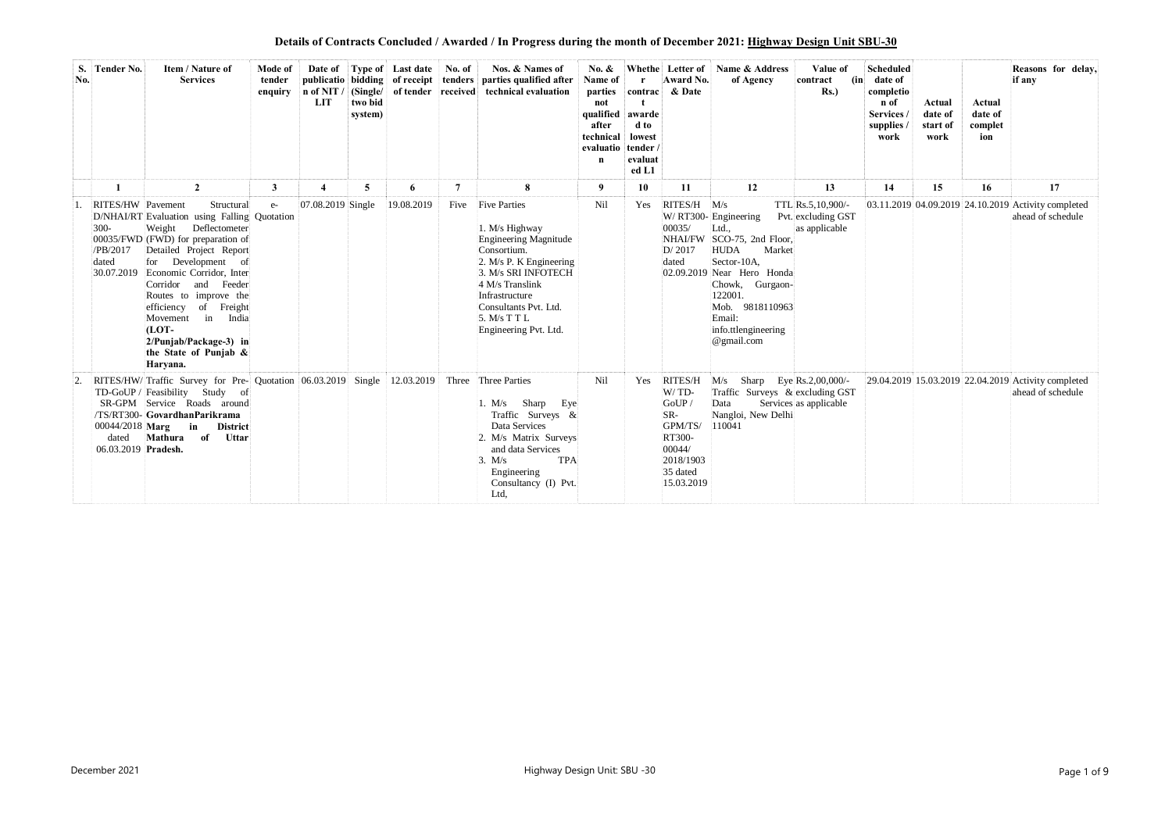**Details of Contracts Concluded / Awarded / In Progress during the month of December 2021: Highway Design Unit SBU-30**

| S.<br>No. | Tender No.                                        | Item / Nature of<br><b>Services</b>                                                                                                                                                                                                                                                                                                                                                                  | Mode of<br>tender<br>enquiry | n of NIT / $(Single/$<br>LIT | two bid<br>system) | Date of Type of Last date<br>publicatio bidding of receipt tenders<br>of tender received | No. of         | Nos. & Names of<br>parties qualified after<br>technical evaluation                                                                                                                                                                            | No. $\&$<br>Name of<br>parties<br>not<br>qualified<br>after<br>technical<br>evaluatio tender /<br>$\mathbf n$ | contrac<br>awarde<br>d to<br>lowest<br>evaluat<br>ed L1 | Whethe Letter of<br>Award No.<br>& Date                                                                | Name & Address<br>of Agency                                                                                                                                                                                                           | Value of<br>(in)<br>contract<br>$Rs.$ )                  | <b>Scheduled</b><br>date of<br>completio<br>n of<br>Services<br>supplies<br>work | Actual<br>date of<br>start of<br>work | Actual<br>date of<br>complet<br>ion | Reasons for delay,<br>if any                                             |
|-----------|---------------------------------------------------|------------------------------------------------------------------------------------------------------------------------------------------------------------------------------------------------------------------------------------------------------------------------------------------------------------------------------------------------------------------------------------------------------|------------------------------|------------------------------|--------------------|------------------------------------------------------------------------------------------|----------------|-----------------------------------------------------------------------------------------------------------------------------------------------------------------------------------------------------------------------------------------------|---------------------------------------------------------------------------------------------------------------|---------------------------------------------------------|--------------------------------------------------------------------------------------------------------|---------------------------------------------------------------------------------------------------------------------------------------------------------------------------------------------------------------------------------------|----------------------------------------------------------|----------------------------------------------------------------------------------|---------------------------------------|-------------------------------------|--------------------------------------------------------------------------|
|           |                                                   | $\overline{2}$                                                                                                                                                                                                                                                                                                                                                                                       | 3                            | $\overline{\mathbf{4}}$      | 5                  | 6                                                                                        | $\overline{7}$ | 8                                                                                                                                                                                                                                             | 9                                                                                                             | 10                                                      | 11                                                                                                     | 12                                                                                                                                                                                                                                    | 13                                                       | 14                                                                               | 15                                    | 16                                  | 17                                                                       |
|           | RITES/HW Pavement<br>$300 -$<br>/PB/2017<br>dated | Structural<br>D/NHAI/RT Evaluation using Falling Quotation<br>Deflectometer<br>Weight<br>00035/FWD (FWD) for preparation of<br>Detailed Project Report<br>for Development of<br>30.07.2019 Economic Corridor, Inter<br>Corridor and Feeder<br>Routes to improve the<br>efficiency of Freight<br>in<br>Movement<br>India<br>$[LOT-$<br>2/Punjab/Package-3) in<br>the State of Punjab $\&$<br>Haryana. | $e-$                         | 07.08.2019 Single            |                    | 19.08.2019                                                                               | Five           | <b>Five Parties</b><br>1. M/s Highway<br><b>Engineering Magnitude</b><br>Consortium.<br>2. M/s P. K Engineering<br>3. M/s SRI INFOTECH<br>4 M/s Translink<br>Infrastructure<br>Consultants Pvt. Ltd.<br>5. M/s T T L<br>Engineering Pvt. Ltd. | Nil                                                                                                           | Yes                                                     | RITES/H M/s<br>00035/<br>D/2017<br>dated                                                               | W/ RT300- Engineering<br>Ltd.,<br>NHAI/FW SCO-75, 2nd Floor,<br><b>HUDA</b><br>Market<br>Sector-10A.<br>02.09.2019 Near Hero Honda<br>Chowk, Gurgaon-<br>122001.<br>Mob. 9818110963<br>Email:<br>info.ttlengineering<br>$@$ gmail.com | TTL Rs.5,10,900/-<br>Pvt. excluding GST<br>as applicable |                                                                                  |                                       |                                     | 03.11.2019 04.09.2019 24.10.2019 Activity completed<br>ahead of schedule |
|           | $00044/2018$ Marg<br>dated<br>06.03.2019 Pradesh. | RITES/HW/Traffic Survey for Pre- Quotation 06.03.2019<br>TD-GoUP / Feasibility Study of<br>SR-GPM Service Roads around<br>/TS/RT300-GovardhanParikrama<br>in<br><b>District</b><br>Mathura<br>Uttar<br>of                                                                                                                                                                                            |                              |                              | Single             | 12.03.2019                                                                               |                | Three Three Parties<br>Sharp<br>1. M/s<br>Eye<br>Traffic Surveys &<br>Data Services<br>2. M/s Matrix Surveys<br>and data Services<br><b>TPA</b><br>3. M/s<br>Engineering<br>Consultancy (I) Pvt.<br>Ltd,                                      | Nil                                                                                                           | Yes                                                     | RITES/H<br>W/TD-<br>GoUP/<br>SR-<br>GPM/TS/<br>RT300-<br>00044/<br>2018/1903<br>35 dated<br>15.03.2019 | M/s<br>Sharp Eye Rs.2,00,000/-<br>Traffic Surveys & excluding GST<br>Data<br>Nangloi, New Delhi<br>110041                                                                                                                             | Services as applicable                                   |                                                                                  |                                       |                                     | 29.04.2019 15.03.2019 22.04.2019 Activity completed<br>ahead of schedule |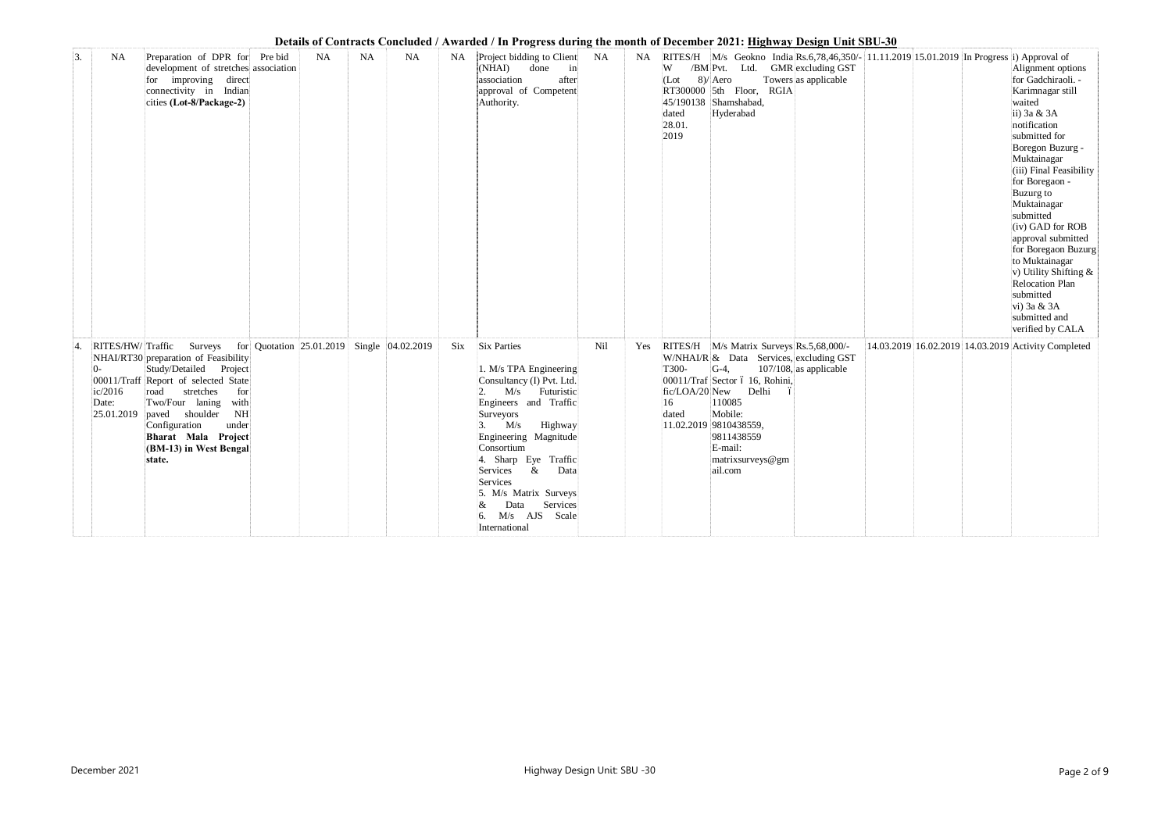|  |  |  |  |  | Details of Contracts Concluded / Awarded / In Progress during the month of December 2021: Highway Design Unit SBU-30 |  |  |  |
|--|--|--|--|--|----------------------------------------------------------------------------------------------------------------------|--|--|--|
|  |  |  |  |  |                                                                                                                      |  |  |  |
|  |  |  |  |  |                                                                                                                      |  |  |  |

|                  |                          |                                                                                                                                                                                                                                                                                                                       |                                            |    |           |      |                                                                                                                                                                                                                                                                                                                                                      |     |     | Details of Contracts Concidued / Awarded / In Lrogress during the month of December 2021, <u>Highway Design Omt SDO-50</u>                                                                                                                                                                     |                                                                                                                      |                                                                                                                                                                                                                                                                                                                                                                                                                                                |
|------------------|--------------------------|-----------------------------------------------------------------------------------------------------------------------------------------------------------------------------------------------------------------------------------------------------------------------------------------------------------------------|--------------------------------------------|----|-----------|------|------------------------------------------------------------------------------------------------------------------------------------------------------------------------------------------------------------------------------------------------------------------------------------------------------------------------------------------------------|-----|-----|------------------------------------------------------------------------------------------------------------------------------------------------------------------------------------------------------------------------------------------------------------------------------------------------|----------------------------------------------------------------------------------------------------------------------|------------------------------------------------------------------------------------------------------------------------------------------------------------------------------------------------------------------------------------------------------------------------------------------------------------------------------------------------------------------------------------------------------------------------------------------------|
| $\overline{3}$ . | <b>NA</b>                | Preparation of DPR for Pre bid<br>development of stretches association<br>for improving direct<br>connectivity in Indian<br>cities (Lot-8/Package-2)                                                                                                                                                                  | <b>NA</b>                                  | NA | <b>NA</b> | NA . | Project bidding to Client<br>(NHAI)<br>done<br>$\mathbf{in}$<br>association<br>after<br>approval of Competent<br>Authority.                                                                                                                                                                                                                          | NA  | NA. | /BM Pvt. Ltd. GMR excluding GST<br>W<br>$8)/$ Aero<br>(Lot<br>RT300000 5th Floor, RGIA<br>45/190138 Shamshabad,<br>dated<br>Hyderabad<br>28.01.<br>2019                                                                                                                                        | RITES/H   M/s Geokno India Rs.6,78,46,350/- 11.11.2019 15.01.2019 In Progress i) Approval of<br>Towers as applicable | Alignment options<br>for Gadchiraoli. -<br>Karimnagar still<br>waited<br>ii) 3a & 3A<br>notification<br>submitted for<br>Boregon Buzurg -<br>Muktainagar<br>(iii) Final Feasibility<br>for Boregaon -<br>Buzurg to<br>Muktainagar<br>submitted<br>(iv) GAD for ROB<br>approval submitted<br>for Boregaon Buzurg<br>to Muktainagar<br>v) Utility Shifting &<br>Relocation Plan<br>submitted<br>vi) 3a & 3A<br>submitted and<br>verified by CALA |
|                  | $0-$<br>ic/2016<br>Date: | RITES/HW/Traffic Surveys<br>NHAI/RT30 preparation of Feasibility<br>Study/Detailed Project<br>00011/Traff Report of selected State<br>stretches<br>road<br>for<br>Two/Four laning<br>with<br>NH<br>$ 25.01.2019 $ paved shoulder<br>Configuration<br>under<br>Bharat Mala Project<br>(BM-13) in West Bengal<br>state. | for Quotation 25.01.2019 Single 04.02.2019 |    |           | Six  | <b>Six Parties</b><br>1. M/s TPA Engineering<br>Consultancy (I) Pvt. Ltd.<br>M/s Futuristic<br>2.<br>Engineers and Traffic<br>Surveyors<br>M/s<br>Highway<br>Engineering Magnitude<br>Consortium<br>4. Sharp Eye Traffic<br>$\&$<br>Data<br>Services<br>Services<br>5. M/s Matrix Surveys<br>Services<br>Data<br>$M/s$ AJS<br>Scale<br>International | Nil | Yes | RITES/H M/s Matrix Surveys Rs.5,68,000/-<br>W/NHAI/R & Data Services, excluding GST<br>T300-<br>$G-4$ ,<br>00011/Traf Sector ó 16, Rohini,<br>fic/LOA/20 New Delhi<br>ó<br>16<br>110085<br>dated<br>Mobile:<br> 11.02.2019 9810438559,<br>9811438559<br>E-mail:<br>matrixsurveys@gm<br>ail.com | $107/108$ , as applicable                                                                                            | 14.03.2019 16.02.2019 14.03.2019 Activity Completed                                                                                                                                                                                                                                                                                                                                                                                            |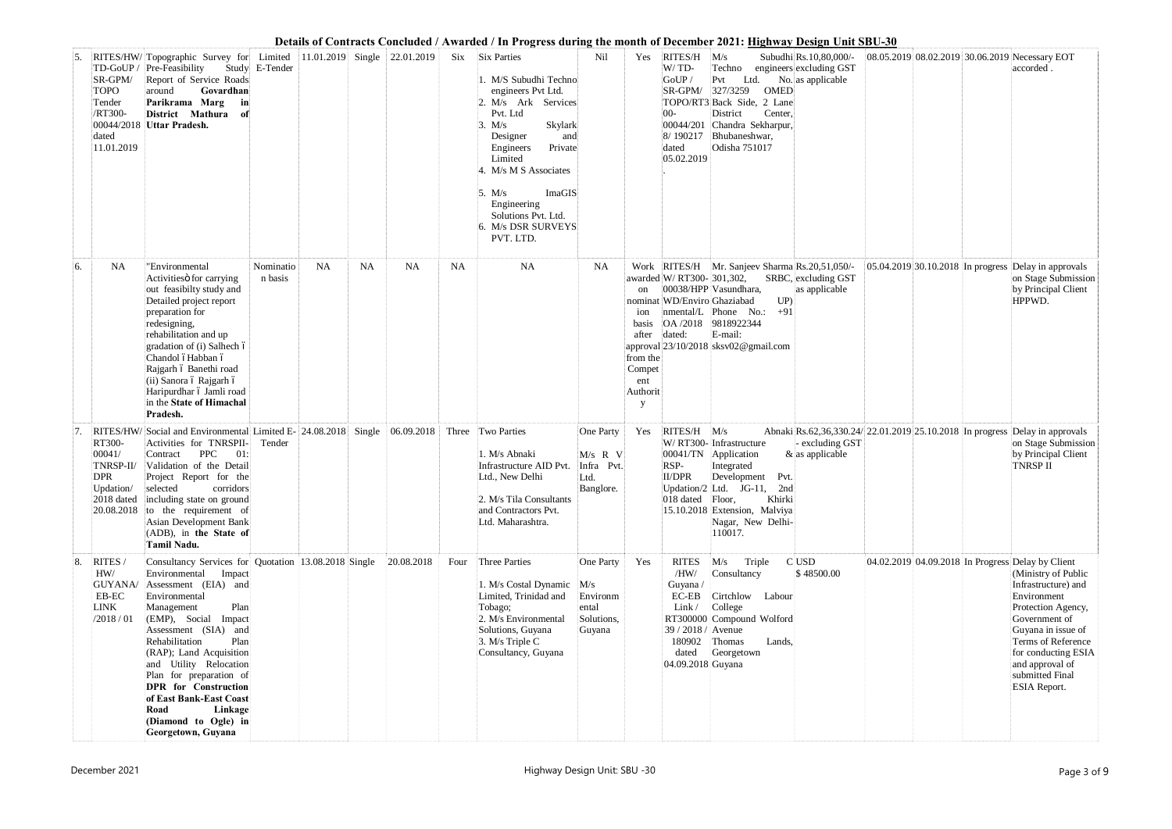|     |                                                                              |                                                                                                                                                                                                                                                                                                                                                                                                                                             |                      |           |           |            |      | Details of Contracts Concluded / Awarded / In Progress during the month of December 2021: <u>Highway Design Unit SBU-30</u>                                                                                                                                                                          |                                                         |                                                                     |                                                                                                                    |                                                                                                                                                                                              |                                                                                                  |                                   |                                                                                                                                                                                                                                                                                       |
|-----|------------------------------------------------------------------------------|---------------------------------------------------------------------------------------------------------------------------------------------------------------------------------------------------------------------------------------------------------------------------------------------------------------------------------------------------------------------------------------------------------------------------------------------|----------------------|-----------|-----------|------------|------|------------------------------------------------------------------------------------------------------------------------------------------------------------------------------------------------------------------------------------------------------------------------------------------------------|---------------------------------------------------------|---------------------------------------------------------------------|--------------------------------------------------------------------------------------------------------------------|----------------------------------------------------------------------------------------------------------------------------------------------------------------------------------------------|--------------------------------------------------------------------------------------------------|-----------------------------------|---------------------------------------------------------------------------------------------------------------------------------------------------------------------------------------------------------------------------------------------------------------------------------------|
| 15. | SR-GPM/<br><b>TOPO</b><br>Tender<br>/RT300-<br>dated<br>11.01.2019           | RITES/HW/Topographic Survey for Limited 11.01.2019 Single 22.01.2019<br>TD-GoUP / Pre-Feasibility Study E-Tender<br>Report of Service Roads<br>Govardhan<br>around<br>Parikrama Marg<br>in<br>District Mathura<br>_of<br>00044/2018 Uttar Pradesh.                                                                                                                                                                                          |                      |           |           |            |      | Six Six Parties<br>1. M/S Subudhi Techno<br>engineers Pvt Ltd.<br>2. M/s Ark Services<br>Pvt. Ltd<br>Skylark<br>3. M/s<br>Designer<br>and<br>Private<br>Engineers<br>Limited<br>4. M/s M S Associates<br>ImaGIS<br>5. $M/s$<br>Engineering<br>Solutions Pvt. Ltd.<br>6. M/s DSR SURVEYS<br>PVT. LTD. | Nil                                                     | Yes                                                                 | RITES/H<br>W/TD-<br>GoUP /<br>SR-GPM/<br>$00-$<br>00044/201<br>8/190217<br>dated<br>05.02.2019                     | M/s<br>Techno<br>Ltd.<br>Pvt<br>327/3259<br><b>OMED</b><br>TOPO/RT3 Back Side, 2 Lane<br>District<br>Center,<br>Chandra Sekharpur,<br>Bhubaneshwar,<br>Odisha 751017                         | Subudhi Rs.10,80,000/-<br>engineers excluding GST<br>No. as applicable                           |                                   | 08.05.2019 08.02.2019 30.06.2019 Necessary EOT<br>accorded.                                                                                                                                                                                                                           |
| 6.  | <b>NA</b>                                                                    | "Environmental<br>Activities of carrying<br>out feasibilty study and<br>Detailed project report<br>preparation for<br>redesigning,<br>rehabilitation and up<br>gradation of (i) Salhech ó<br>Chandol óHabban ó<br>Rajgarh ó Banethi road<br>(ii) Sanora ó Rajgarh ó<br>Haripurdhar ó Jamli road<br>in the State of Himachal<br>Pradesh.                                                                                                     | Nominatio<br>n basis | <b>NA</b> | <b>NA</b> | <b>NA</b>  | NA   | <b>NA</b>                                                                                                                                                                                                                                                                                            | <b>NA</b>                                               | ion<br>basis<br>after<br>from the<br>Compet<br>ent<br>Authorit<br>y | awarded W/ RT300- 301,302,<br>nominat WD/Enviro Ghaziabad<br>OA /2018<br>dated:                                    | Work RITES/H Mr. Sanjeev Sharma Rs.20,51,050/-<br>00038/HPP Vasundhara,<br>UP<br>$+91$<br>nmental/L Phone No.:<br>9818922344<br>E-mail:<br>approval 23/10/2018 sksv02@gmail.com              | SRBC, excluding GST<br>as applicable                                                             | 05.04.2019 30.10.2018 In progress | Delay in approvals<br>on Stage Submission<br>by Principal Client<br>HPPWD.                                                                                                                                                                                                            |
|     | <b>RITES/HW/</b><br>RT300-<br>00041/<br>TNRSP-II/<br><b>DPR</b><br>Updation/ | Social and Environmental Limited E- 24.08.2018 Single   06.09.2018  <br>Activities for TNRSPII-<br><b>PPC</b><br>01:<br>Contract<br>Validation of the Detail<br>Project Report for the<br>corridors<br>selected<br>2018 dated including state on ground<br>$\vert$ 20.08.2018 to the requirement of<br>Asian Development Bank<br>(ADB), in the State of<br><b>Tamil Nadu.</b>                                                               | Tender               |           |           |            |      | Three Two Parties<br>1. M/s Abnaki<br>Infrastructure AID Pvt.<br>Ltd., New Delhi<br>2. M/s Tila Consultants<br>and Contractors Pvt.<br>Ltd. Maharashtra.                                                                                                                                             | One Party<br>M/s R V<br>Infra Pvt.<br>Ltd.<br>Banglore. | Yes                                                                 | <b>RITES/H</b><br>00041/TN<br>RSP-<br>II/DPR<br>018 dated Floor,                                                   | M/s<br>W/ RT300- Infrastructure<br>Application<br>Integrated<br>Development<br>Pvt.<br>Updation/2 Ltd. JG-11, 2nd<br>Khirki<br>15.10.2018 Extension, Malviya<br>Nagar, New Delhi-<br>110017. | Abnaki Rs.62,36,330.24/22.01.2019 25.10.2018 In progress<br>- excluding GST<br>$&$ as applicable |                                   | Delay in approvals<br>on Stage Submission<br>by Principal Client<br><b>TNRSP II</b>                                                                                                                                                                                                   |
| 8.  | RITES /<br>HW/<br>EB-EC<br><b>LINK</b><br>/2018/01                           | Consultancy Services for Quotation 13.08.2018 Single<br>Environmental<br>Impact<br>GUYANA/ Assessment (EIA) and<br>Environmental<br>Plan<br>Management<br>(EMP), Social Impact<br>Assessment (SIA) and<br>Plan<br>Rehabilitation<br>(RAP); Land Acquisition<br>and Utility Relocation<br>Plan for preparation of<br><b>DPR</b> for Construction<br>of East Bank-East Coast<br>Road<br>Linkage<br>(Diamond to Ogle) in<br>Georgetown, Guyana |                      |           |           | 20.08.2018 | Four | Three Parties<br>1. M/s Costal Dynamic M/s<br>Limited, Trinidad and<br>Tobago;<br>2. M/s Environmental<br>Solutions, Guyana<br>3. M/s Triple C<br>Consultancy, Guyana                                                                                                                                | One Party<br>Environm<br>ental<br>Solutions,<br>Guyana  | Yes                                                                 | <b>RITES</b><br>/HW/<br>Guyana /<br>$EC-EB$<br>Link/<br>39 / 2018 / Avenue<br>180902<br>dated<br>04.09.2018 Guyana | M/s<br>Triple<br>Consultancy<br>Cirtchlow Labour<br>College<br>RT300000 Compound Wolford<br>Thomas<br>Lands,<br>Georgetown                                                                   | C USD<br>\$48500.00                                                                              |                                   | 04.02.2019 04.09.2018 In Progress Delay by Client<br>(Ministry of Public<br>Infrastructure) and<br>Environment<br>Protection Agency,<br>Government of<br>Guyana in issue of<br>Terms of Reference<br>for conducting ESIA<br>and approval of<br>submitted Final<br><b>ESIA Report.</b> |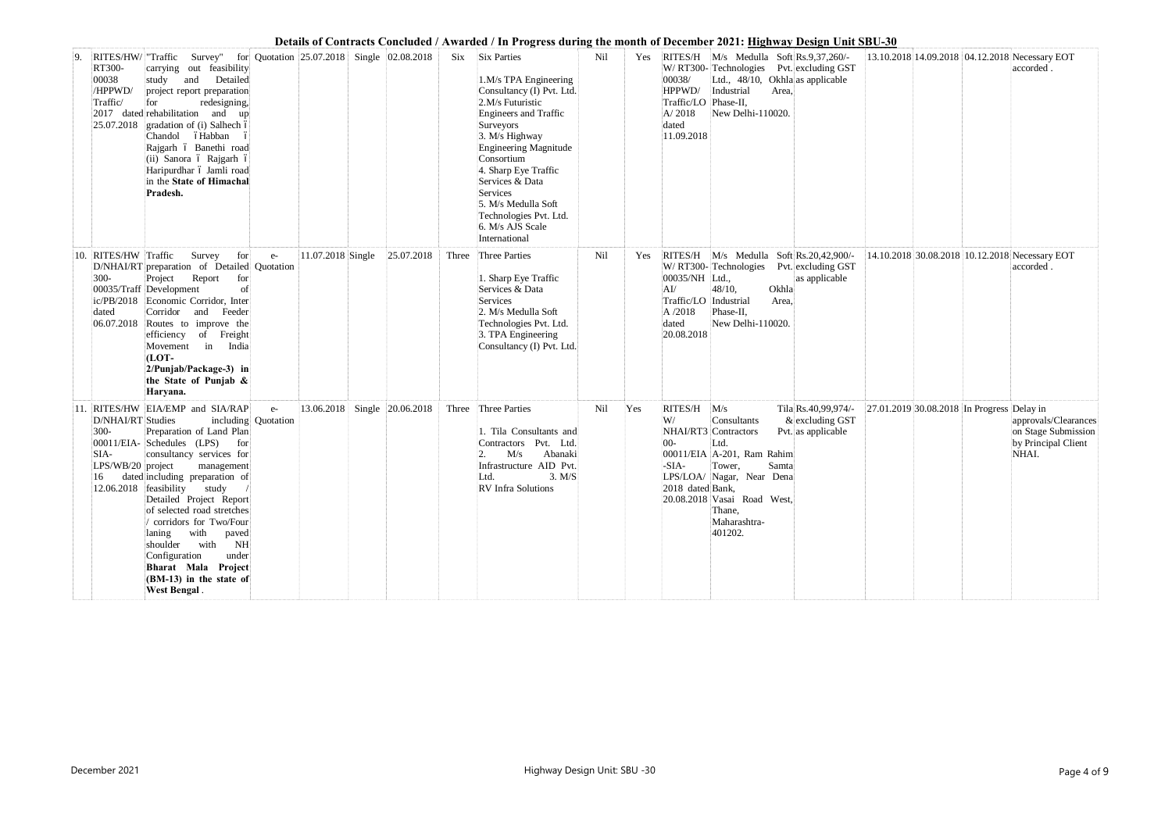|                                                            |                                                                                                                                                                                                                                                                                                                                                                                                                                                                                                           |                     |                   |                                                                                                                                                                                                                                                                                                                                                        |     |     | Details of Contracts Concluded / Awarded / In Progress during the month of December 2021: <u>Highway Design Unit SBU-30</u>                                                                                                                                                                                                          |                                                |                                                                             |
|------------------------------------------------------------|-----------------------------------------------------------------------------------------------------------------------------------------------------------------------------------------------------------------------------------------------------------------------------------------------------------------------------------------------------------------------------------------------------------------------------------------------------------------------------------------------------------|---------------------|-------------------|--------------------------------------------------------------------------------------------------------------------------------------------------------------------------------------------------------------------------------------------------------------------------------------------------------------------------------------------------------|-----|-----|--------------------------------------------------------------------------------------------------------------------------------------------------------------------------------------------------------------------------------------------------------------------------------------------------------------------------------------|------------------------------------------------|-----------------------------------------------------------------------------|
| 9.<br>RT300-<br>00038<br>/HPPWD/<br>Traffic/<br>25.07.2018 | Survey" for Quotation 25.07.2018 Single 02.08.2018<br>RITES/HW/ "Traffic<br>carrying out feasibility<br>and Detailed<br>study<br>project report preparation<br>redesigning,<br>for<br>2017 dated rehabilitation and<br>$\mathbf{u}$<br>gradation of (i) Salhech ó<br>Chandol óHabban<br>Rajgarh ó Banethi road<br>(ii) Sanora ó Rajgarh ó<br>Haripurdhar ó Jamli road<br>in the State of Himachal<br>Pradesh.                                                                                             |                     |                   | <b>Six Parties</b><br>Six<br>1.M/s TPA Engineering<br>Consultancy (I) Pvt. Ltd.<br>2.M/s Futuristic<br><b>Engineers and Traffic</b><br>Surveyors<br>3. M/s Highway<br>Engineering Magnitude<br>Consortium<br>4. Sharp Eye Traffic<br>Services & Data<br>Services<br>5. M/s Medulla Soft<br>Technologies Pvt. Ltd.<br>6. M/s AJS Scale<br>International | Nil | Yes | RITES/H M/s Medulla Soft Rs.9,37,260/-<br>W/ RT300- Technologies Pvt. excluding GST<br>00038/<br>Ltd., 48/10, Okhla as applicable<br>HPPWD/<br>Industrial<br>Area,<br>Traffic/LO<br>Phase-II,<br>A/2018<br>New Delhi-110020.<br>dated<br>11.09.2018                                                                                  | 13.10.2018 14.09.2018 04.12.2018 Necessary EOT | accorded.                                                                   |
| 10.<br>$300-$<br>dated                                     | RITES/HW Traffic<br>Survey<br>for<br>$e-$<br>D/NHAI/RT preparation of Detailed Quotation<br>Report<br>Project<br>for<br>00035/Traff Development<br>of<br>ic/PB/2018 Economic Corridor, Inter<br>Feeder<br>Corridor<br>and<br>$ 06.07.2018 $ Routes to improve the<br>of Freight<br>efficiency<br>Movement in<br>India<br>$[LOT-$<br>2/Punjab/Package-3) in<br>the State of Punjab &<br>Haryana.                                                                                                           | $11.07.2018$ Single | 25.07.2018        | Three Parties<br>Three<br>1. Sharp Eye Traffic<br>Services & Data<br>Services<br>2. M/s Medulla Soft<br>Technologies Pvt. Ltd.<br>3. TPA Engineering<br>Consultancy (I) Pvt. Ltd.                                                                                                                                                                      | Nil | Yes | RITES/H M/s Medulla Soft Rs.20,42,900/-<br>W/ RT300- Technologies Pvt. excluding GST<br>00035/NH Ltd.,<br>as applicable<br>$48/10$ ,<br>Okhla<br>$\rm{Al}/$<br>Traffic/LO<br>Industrial<br>Area,<br>A /2018<br>Phase-II,<br>New Delhi-110020.<br>dated<br>20.08.2018                                                                 | 14.10.2018 30.08.2018 10.12.2018 Necessary EOT | accorded                                                                    |
| $300 -$<br>SIA-<br>16                                      | RITES/HW EIA/EMP and SIA/RAP<br>$e-$<br>D/NHAI/RT Studies<br>including Quotation<br>Preparation of Land Plan<br>00011/EIA-Schedules (LPS)<br>for<br>consultancy services for<br>LPS/WB/20 project<br>management<br>dated including preparation of<br>12.06.2018 feasibility study<br>Detailed Project Report<br>of selected road stretches<br>corridors for Two/Four<br>laning with paved<br>shoulder with NH<br>Configuration<br>under<br>Bharat Mala Project<br>(BM-13) in the state of<br>West Bengal. | 13.06.2018          | Single 20.06.2018 | Three Three Parties<br>1. Tila Consultants and<br>Contractors Pvt. Ltd.<br>Abanaki<br>M/s<br>Infrastructure AID Pvt.<br>3. M/S<br>Ltd.<br>RV Infra Solutions                                                                                                                                                                                           | Nil | Yes | <b>RITES/H</b><br>M/s<br>Tila Rs.40,99,974/-<br>W/<br>& excluding GST<br>Consultants<br>NHAI/RT3 Contractors<br>Pvt. as applicable<br>$00-$<br>Ltd.<br>00011/EIA A-201, Ram Rahim<br>$-SIA-$<br>Samta<br>Tower,<br>LPS/LOA/ Nagar, Near Dena<br>2018 dated Bank,<br>20.08.2018 Vasai Road West,<br>Thane,<br>Maharashtra-<br>401202. | 27.01.2019 30.08.2018 In Progress Delay in     | approvals/Clearances<br>on Stage Submission<br>by Principal Client<br>NHAI. |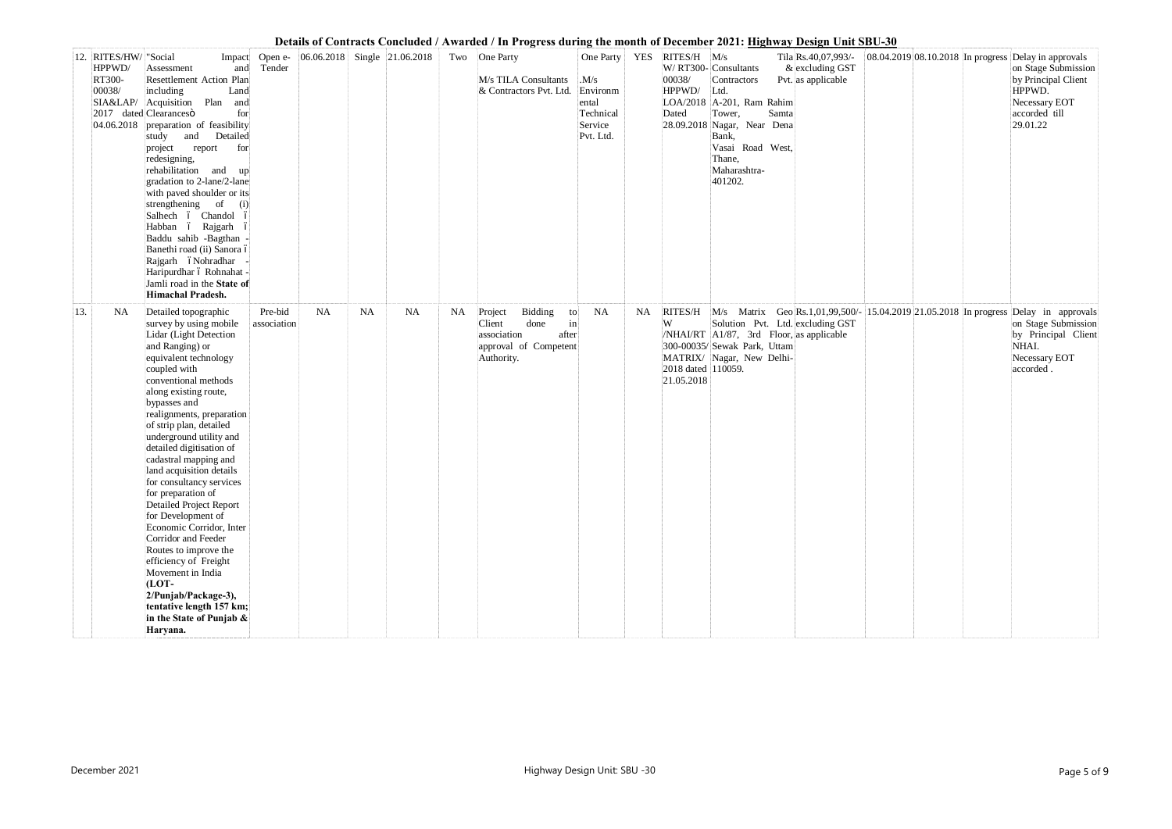|     |                                                     |                                                                                                                                                                                                                                                                                                                                                                                                                                                                                                                                                                                                                                                                                                                |                        |                                  |           |    |    | Details of Contracts Concluded / Awarded / In Progress during the month of December 2021; <u>Highway Design Unit SBU-30</u>             |                                                                            |            |                                                            |                                                                                                                                                                             |       |                                                                |                                    |  |                                                                                                                                                                                   |
|-----|-----------------------------------------------------|----------------------------------------------------------------------------------------------------------------------------------------------------------------------------------------------------------------------------------------------------------------------------------------------------------------------------------------------------------------------------------------------------------------------------------------------------------------------------------------------------------------------------------------------------------------------------------------------------------------------------------------------------------------------------------------------------------------|------------------------|----------------------------------|-----------|----|----|-----------------------------------------------------------------------------------------------------------------------------------------|----------------------------------------------------------------------------|------------|------------------------------------------------------------|-----------------------------------------------------------------------------------------------------------------------------------------------------------------------------|-------|----------------------------------------------------------------|------------------------------------|--|-----------------------------------------------------------------------------------------------------------------------------------------------------------------------------------|
|     | 12. RITES/HW/ "Social<br>HPPWD/<br>RT300-<br>00038/ | Impact<br>and<br>Assessment<br>Resettlement Action Plan<br>including<br>Land<br>SIA&LAP/ Acquisition Plan<br>and<br>2017 dated Clearancesö<br>for<br>04.06.2018 preparation of feasibility<br>and<br>Detailed<br>study<br>for<br>project<br>report<br>redesigning,<br>rehabilitation and up<br>gradation to 2-lane/2-lane<br>with paved shoulder or its<br>strengthening of<br>(i)<br>Salhech ó Chandol ó<br>Habban ó Rajgarh ó<br>Baddu sahib -Bagthan -<br>Banethi road (ii) Sanora ó<br>Rajgarh óNohradhar<br>Haripurdhar ó Rohnahat -<br>Jamli road in the State of<br>Himachal Pradesh.                                                                                                                   | Open e-<br>Tender      | $ 06.06.2018 $ Single 21.06.2018 |           |    |    | Two One Party<br>M/s TILA Consultants<br>& Contractors Pvt. Ltd.                                                                        | One Party<br>M/s<br>Environm<br>ental<br>Technical<br>Service<br>Pvt. Ltd. | <b>YES</b> | $RITES/H$ $M/s$<br>00038/<br>HPPWD/<br>Dated<br>28.09.2018 | W/ RT300- Consultants<br>Contractors<br>Ltd.<br>LOA/2018   A-201, Ram Rahim<br>Tower,<br>Nagar, Near Dena<br>Bank,<br>Vasai Road West,<br>Thane,<br>Maharashtra-<br>401202. | Samta | Tila Rs.40,07,993/-<br>$&$ excluding GST<br>Pvt. as applicable | $08.04.201908.10.2018$ In progress |  | Delay in approvals<br>on Stage Submission<br>by Principal Client<br>HPPWD.<br>Necessary EOT<br>accorded till<br>29.01.22                                                          |
| 13. | <b>NA</b>                                           | Detailed topographic<br>survey by using mobile<br>Lidar (Light Detection<br>and Ranging) or<br>equivalent technology<br>coupled with<br>conventional methods<br>along existing route,<br>bypasses and<br>realignments, preparation<br>of strip plan, detailed<br>underground utility and<br>detailed digitisation of<br>cadastral mapping and<br>land acquisition details<br>for consultancy services<br>for preparation of<br>Detailed Project Report<br>for Development of<br>Economic Corridor, Inter<br>Corridor and Feeder<br>Routes to improve the<br>efficiency of Freight<br>Movement in India<br>(LOT-<br>2/Punjab/Package-3),<br>tentative length 157 km;<br>in the State of Punjab $\&$<br>Haryana. | Pre-bid<br>association | <b>NA</b>                        | <b>NA</b> | NA | NA | Project<br>Bidding<br>to<br>$\left  \text{in} \right $<br>Client<br>done<br>association<br>after<br>approval of Competent<br>Authority. | <b>NA</b>                                                                  | <b>NA</b>  | W<br>2018 dated 110059.<br>21.05.2018                      | Solution Pvt. Ltd. excluding GST<br>/NHAI/RT $\vert$ A1/87, 3rd Floor, as applicable<br>300-00035/ Sewak Park, Uttam<br>MATRIX/ Nagar, New Delhi-                           |       |                                                                |                                    |  | RITES/H M/s Matrix Geo Rs.1,01,99,500/- 15.04.2019 21.05.2018 In progress Delay in approvals<br>on Stage Submission<br>by Principal Client<br>NHAI.<br>Necessary EOT<br>accorded. |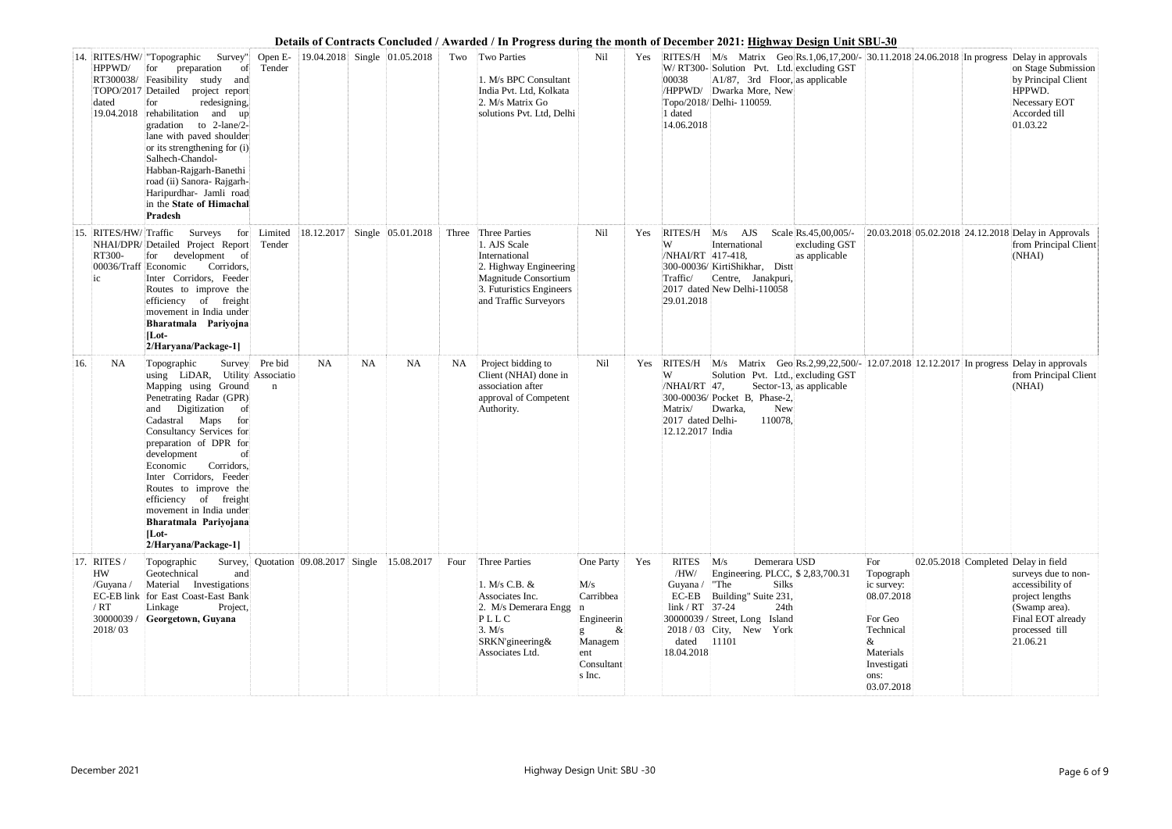|     |                                                                      |                                                                                                                                                                                                                                                                                                                                                                                                                                     |                               |            |           |                                                |       |                                                                                                                                                       |                                                                                               |     | Details of Contracts Concluded / Awarded / In Progress during the month of December 2021; <u>Highway Design Unit SBU-30</u>                                                                                                                                                                                                                                                                             |                                                                                                                                                                       |
|-----|----------------------------------------------------------------------|-------------------------------------------------------------------------------------------------------------------------------------------------------------------------------------------------------------------------------------------------------------------------------------------------------------------------------------------------------------------------------------------------------------------------------------|-------------------------------|------------|-----------|------------------------------------------------|-------|-------------------------------------------------------------------------------------------------------------------------------------------------------|-----------------------------------------------------------------------------------------------|-----|---------------------------------------------------------------------------------------------------------------------------------------------------------------------------------------------------------------------------------------------------------------------------------------------------------------------------------------------------------------------------------------------------------|-----------------------------------------------------------------------------------------------------------------------------------------------------------------------|
|     | HPPWD/<br>RT300038/<br>dated<br>19.04.2018                           | 14. RITES/HW/ "Topographic<br>Survey"<br>preparation<br>for<br>- of<br>Feasibility study and<br>TOPO/2017 Detailed project report<br>redesigning,<br>for<br>rehabilitation and<br>$\mathbf{u}$<br>gradation to 2-lane/2-<br>lane with paved shoulder<br>or its strengthening for (i)<br>Salhech-Chandol-<br>Habban-Rajgarh-Banethi<br>road (ii) Sanora- Rajgarh-<br>Haripurdhar- Jamli road<br>in the State of Himachal<br>Pradesh  | Open E-<br>Tender             |            |           | 19.04.2018 Single 01.05.2018                   |       | Two Two Parties<br>1. M/s BPC Consultant<br>India Pvt. Ltd, Kolkata<br>2. M/s Matrix Go<br>solutions Pvt. Ltd, Delhi                                  | Nil                                                                                           | Yes | RITES/H $\text{M/s}$ Matrix Geo Rs.1,06,17,200/- 30.11.2018 24.06.2018 In progress Delay in approvals<br>W/ RT300-Solution Pvt. Ltd. excluding GST<br>00038<br>A1/87, 3rd Floor, as applicable<br>/HPPWD/ Dwarka More, New<br>Topo/2018/ Delhi- 110059.<br>1 dated<br>14.06.2018                                                                                                                        | on Stage Submission<br>by Principal Client<br>HPPWD.<br>Necessary EOT<br>Accorded till<br>01.03.22                                                                    |
| 15. | RITES/HW/Traffic<br>RT300-<br>00036/Traff Economic<br>1 <sup>C</sup> | Surveys for Limited<br>NHAI/DPR/ Detailed Project Report<br>development of<br>for<br>Corridors,<br>Inter Corridors, Feeder<br>Routes to improve the<br>efficiency of freight<br>movement in India under<br>Bharatmala Pariyojna<br>$[Lot-$<br>2/Haryana/Package-1]                                                                                                                                                                  | Tender                        | 18.12.2017 |           | Single 05.01.2018                              | Three | Three Parties<br>1. AJS Scale<br>International<br>2. Highway Engineering<br>Magnitude Consortium<br>3. Futuristics Engineers<br>and Traffic Surveyors | Nil                                                                                           | Yes | <b>RITES/H</b><br>Scale Rs.45,00,005/-<br>$M/s$ AJS<br>International<br>excluding GST<br>/NHAI/RT 417-418,<br>as applicable<br>300-00036/KirtiShikhar, Distt<br>Centre, Janakpuri,<br>Traffic/<br>2017 dated New Delhi-110058<br>29.01.2018                                                                                                                                                             | 20.03.2018 05.02.2018 24.12.2018 Delay in Approvals<br>from Principal Client<br>(NHAI)                                                                                |
| 16. | <b>NA</b>                                                            | Topographic<br>using LiDAR, Utility Associatio<br>Mapping using Ground<br>Penetrating Radar (GPR)<br>Digitization<br>- of<br>and<br>Cadastral Maps<br>for<br>Consultancy Services for<br>preparation of DPR for<br>development<br>of<br>Corridors,<br>Economic<br>Inter Corridors, Feeder<br>Routes to improve the<br>efficiency of freight<br>movement in India under<br>Bharatmala Pariyojana<br>$ $ Lot-<br>2/Haryana/Package-1] | Survey Pre bid<br>$\mathbf n$ | NA         | <b>NA</b> | <b>NA</b>                                      | NA    | Project bidding to<br>Client (NHAI) done in<br>association after<br>approval of Competent<br>Authority.                                               | Nil                                                                                           | Yes | RITES/H M/s Matrix Geo Rs.2,99,22,500/- 12.07.2018 12.12.2017 In progress Delay in approvals<br>Solution Pvt. Ltd., excluding GST<br>/NHAI/RT 47,<br>Sector-13, as applicable<br>300-00036/ Pocket B, Phase-2,<br><b>New</b><br>Matrix/<br>Dwarka,<br>110078,<br>2017 dated Delhi-<br>12.12.2017 India                                                                                                  | from Principal Client<br>(NHAI)                                                                                                                                       |
|     | 17. RITES<br>HW<br>/Guyana /<br>/ RT<br>30000039 /<br>2018/03        | Topographic<br>Geotechnical<br>and<br>Material Investigations<br>EC-EB link for East Coast-East Bank<br>Project,<br>Linkage<br>Georgetown, Guyana                                                                                                                                                                                                                                                                                   |                               |            |           | Survey, Quotation 09.08.2017 Single 15.08.2017 | Four  | <b>Three Parties</b><br>1. M/s C.B. &<br>Associates Inc.<br>2. M/s Demerara Engg<br>PLLC<br>3. M/s<br>SRKN'gineering&<br>Associates Ltd.              | One Party<br>M/s<br>Carribbea<br>Engineerin<br>$\&$<br>Managem<br>ent<br>Consultant<br>s Inc. | Yes | <b>RITES</b><br>M/s<br>Demerara USD<br>For<br>Engineering. PLCC, \$2,83,700.31<br>/HW/<br>Topograph<br>"The<br>Silks<br>Guyana /<br>ic survey:<br>$EC-EB$<br>Building" Suite 231,<br>08.07.2018<br>$link / RT$ 37-24<br>24th<br>For Geo<br>30000039 / Street, Long Island<br>2018/03 City, New York<br>Technical<br>11101<br>dated<br>&<br>18.04.2018<br>Materials<br>Investigati<br>ons:<br>03.07.2018 | 02.05.2018 Completed Delay in field<br>surveys due to non-<br>accessibility of<br>project lengths<br>(Swamp area).<br>Final EOT already<br>processed till<br>21.06.21 |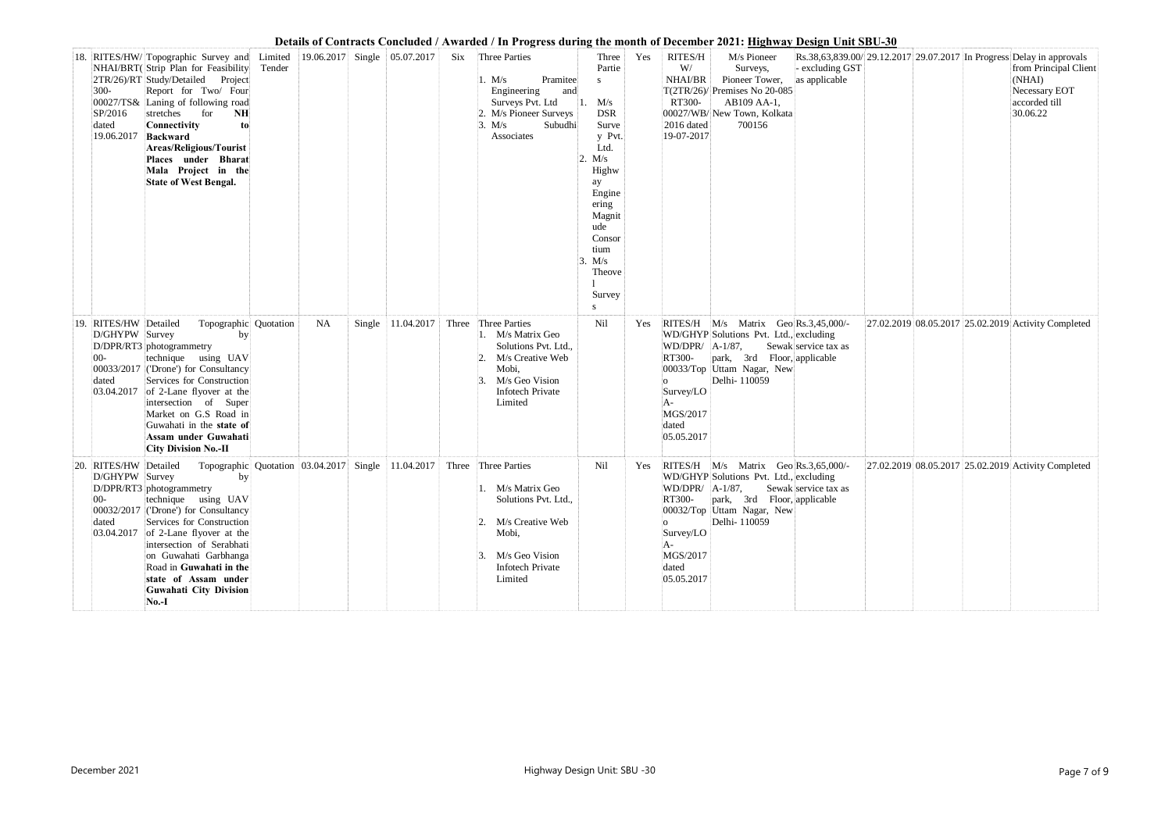|     |                                                                     |                                                                                                                                                                                                                                                                                                                                                            |                                                    |           |                                      |       |                                                                                                                                                   |                            |                                                                                                                                                                                              |     |                                                                                       | Details of Contracts Concluded / Awarded / In Progress during the month of December 2021: <u>Highway Design Unit SBU-30</u>                                 |                                  |                                                                      |                                                                               |
|-----|---------------------------------------------------------------------|------------------------------------------------------------------------------------------------------------------------------------------------------------------------------------------------------------------------------------------------------------------------------------------------------------------------------------------------------------|----------------------------------------------------|-----------|--------------------------------------|-------|---------------------------------------------------------------------------------------------------------------------------------------------------|----------------------------|----------------------------------------------------------------------------------------------------------------------------------------------------------------------------------------------|-----|---------------------------------------------------------------------------------------|-------------------------------------------------------------------------------------------------------------------------------------------------------------|----------------------------------|----------------------------------------------------------------------|-------------------------------------------------------------------------------|
|     | $300 -$<br>SP/2016<br>dated<br>19.06.2017                           | 18. RITES/HW/ Topographic Survey and<br>NHAI/BRT(Strip Plan for Feasibility<br>2TR/26)/RT Study/Detailed Project<br>Report for Two/ Four<br>00027/TS& Laning of following road<br>stretches<br>for<br>NH<br>Connectivity<br>to<br>Backward<br><b>Areas/Religious/Tourist</b><br>Places under Bharat<br>Mala Project in the<br><b>State of West Bengal.</b> | Limited<br>Tender                                  |           | $ 19.06.2017 $ Single $ 05.07.2017 $ | Six   | Three Parties<br>1. M/s<br>Engineering<br>Surveys Pvt. Ltd<br>2. M/s Pioneer Surveys<br>3. M/s<br>Associates                                      | Pramitee<br>and<br>Subudhi | Three<br>Partie<br>S<br>$1.$ M/s<br><b>DSR</b><br>Surve<br>y Pvt.<br>Ltd.<br>2. M/s<br>Highw<br>ay<br>Engine<br>ering<br>Magnit<br>ude<br>Consor<br>tium<br>3. M/s<br>Theove<br>Survey<br>S. | Yes | RITES/H<br>W/<br>NHAI/BR<br>T(2TR/26)<br>RT300-<br>2016 dated<br>19-07-2017           | M/s Pioneer<br>Surveys,<br>Pioneer Tower,<br>Premises No 20-085<br>AB109 AA-1,<br>00027/WB/New Town, Kolkata<br>700156                                      | - excluding GST<br>as applicable | Rs.38,63,839.00/29.12.2017 29.07.2017 In Progress Delay in approvals | from Principal Client<br>(NHAI)<br>Necessary EOT<br>accorded till<br>30.06.22 |
| 19. | RITES/HW Detailed<br>D/GHYPW Survey<br>$00-$<br>dated<br>03.04.2017 | Topographic Quotation<br>by<br>D/DPR/RT3 photogrammetry<br>technique using UAV<br>00033/2017 ('Drone') for Consultancy<br>Services for Construction<br>of 2-Lane flyover at the<br>intersection of Super<br>Market on G.S Road in<br>Guwahati in the state of<br>Assam under Guwahati<br><b>City Division No.-II</b>                                       |                                                    | <b>NA</b> | Single 11.04.2017                    | Three | Three Parties<br>1. M/s Matrix Geo<br>Solutions Pvt. Ltd.,<br>M/s Creative Web<br>Mobi,<br>M/s Geo Vision<br>Infotech Private<br>Limited          |                            | Nil                                                                                                                                                                                          | Yes | WD/DPR/ A-1/87,<br>RT300-<br>്റ<br>Survey/LO<br>A-<br>MGS/2017<br>dated<br>05.05.2017 | RITES/H M/s Matrix Geo Rs.3,45,000/-<br>WD/GHYP Solutions Pvt. Ltd., excluding<br>park, 3rd Floor, applicable<br>00033/Top Uttam Nagar, New<br>Delhi-110059 | Sewak service tax as             | 27.02.2019 08.05.2017 25.02.2019 Activity Completed                  |                                                                               |
|     | RITES/HW Detailed<br>D/GHYPW Survey<br>$00-$<br>dated               | by<br>D/DPR/RT3 photogrammetry<br>technique using UAV<br>00032/2017 ('Drone') for Consultancy<br>Services for Construction<br>$ 03.04.2017 $ of 2-Lane flyover at the<br>intersection of Serabhati<br>on Guwahati Garbhanga<br>Road in Guwahati in the<br>state of Assam under<br>Guwahati City Division<br><b>No.-I</b>                                   | Topographic Quotation 03.04.2017 Single 11.04.2017 |           |                                      |       | Three Three Parties<br>1. M/s Matrix Geo<br>Solutions Pvt. Ltd.,<br>2. M/s Creative Web<br>Mobi,<br>M/s Geo Vision<br>Infotech Private<br>Limited |                            | Nil                                                                                                                                                                                          | Yes | WD/DPR/ A-1/87,<br>RT300-<br>Survey/LO<br>A-<br>MGS/2017<br>dated<br>05.05.2017       | RITES/H M/s Matrix Geo Rs.3,65,000/-<br>WD/GHYP Solutions Pvt. Ltd., excluding<br>park, 3rd Floor, applicable<br>00032/Top Uttam Nagar, New<br>Delhi-110059 | Sewak service tax as             | 27.02.2019 08.05.2017 25.02.2019 Activity Completed                  |                                                                               |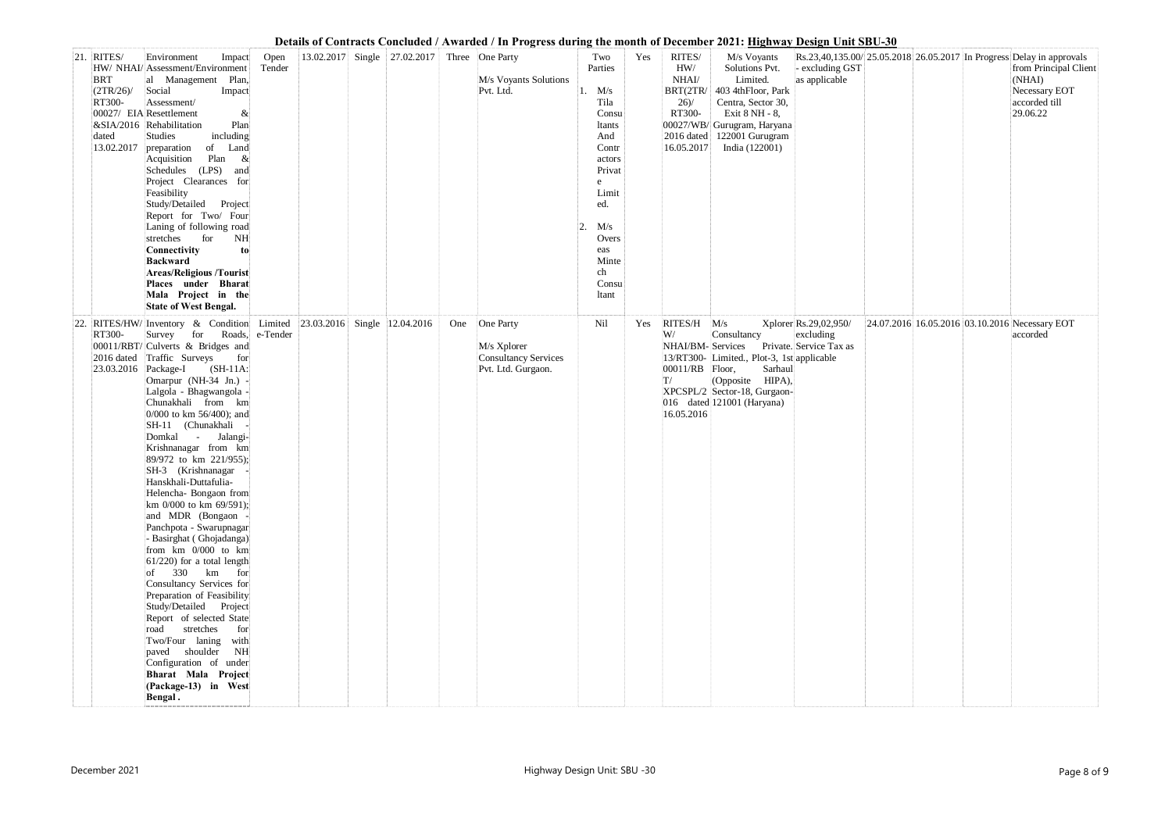|     |                                                                           |                                                                                                                                                                                                                                                                                                                                                                                                                                                                                                                                                                                                                                                                                                                                                                                                                                                                                                  |                |                                      |                                              | Details of Contracts Conciducu / Awarucu / In 1 rogress uuring the month of December 2021, <u>Highway Design Unit SDU-50</u> |                                                                                                                                                                              |     |                                                                              |                                                                                                                                                                                        |                                                               |  |                                                                                                                                                       |
|-----|---------------------------------------------------------------------------|--------------------------------------------------------------------------------------------------------------------------------------------------------------------------------------------------------------------------------------------------------------------------------------------------------------------------------------------------------------------------------------------------------------------------------------------------------------------------------------------------------------------------------------------------------------------------------------------------------------------------------------------------------------------------------------------------------------------------------------------------------------------------------------------------------------------------------------------------------------------------------------------------|----------------|--------------------------------------|----------------------------------------------|------------------------------------------------------------------------------------------------------------------------------|------------------------------------------------------------------------------------------------------------------------------------------------------------------------------|-----|------------------------------------------------------------------------------|----------------------------------------------------------------------------------------------------------------------------------------------------------------------------------------|---------------------------------------------------------------|--|-------------------------------------------------------------------------------------------------------------------------------------------------------|
|     | 21. RITES/<br><b>BRT</b><br>$(2TR/26)$ /<br>RT300-<br>dated<br>13.02.2017 | Environment<br>Impact<br>HW/ NHAI/ Assessment/Environment<br>al Management Plan,<br>Social<br>Impact<br>Assessment/<br>00027/ EIA Resettlement<br>&<br>Plan<br>&SIA/2016 Rehabilitation<br>including<br>Studies<br>of Land<br>preparation<br>Acquisition<br>Plan<br>$\&$<br>Schedules (LPS)<br>and<br>Project Clearances for<br>Feasibility<br>Study/Detailed Project<br>Report for Two/ Four<br>Laning of following road<br>for<br>stretches<br>NH<br>Connectivity<br>to<br><b>Backward</b><br><b>Areas/Religious /Tourist</b><br>Places under Bharat<br>Mala Project in the<br><b>State of West Bengal.</b>                                                                                                                                                                                                                                                                                    | Open<br>Tender |                                      | 13.02.2017 Single 27.02.2017 Three One Party | M/s Voyants Solutions<br>Pvt. Ltd.                                                                                           | Two<br>Parties<br>1. $M/s$<br>Tila<br>Consu<br>ltants<br>And<br>Contr<br>actors<br>Privat<br>e<br>Limit<br>ed.<br>M/s<br>2.<br>Overs<br>eas<br>Minte<br>ch<br>Consu<br>ltant | Yes | RITES/<br>HW/<br>NHAI/<br>BRT(2TR/<br>26/<br>RT300-<br>16.05.2017            | M/s Voyants<br>Solutions Pvt.<br>Limited.<br>403 4thFloor, Park<br>Centra, Sector 30,<br>Exit 8 NH - 8,<br>00027/WB/ Gurugram, Haryana<br>2016 dated 122001 Gurugram<br>India (122001) | - excluding GST<br>as applicable                              |  | Rs.23,40,135.00/25.05.2018 26.05.2017 In Progress Delay in approvals<br>from Principal Client<br>(NHAI)<br>Necessary EOT<br>accorded till<br>29.06.22 |
| 22. | RT300-<br>2016 dated<br>$\vert$ 23.03.2016 Package-I                      | $RITES/HW/$ Inventory & Condition<br>Survey for Roads, e-Tender<br>00011/RBT/ Culverts & Bridges and<br>Traffic Surveys<br>for<br>$(SH-11A)$<br>Omarpur (NH-34 Jn.) -<br>Lalgola - Bhagwangola -<br>Chunakhali from km<br>0/000 to km 56/400); and<br>SH-11 (Chunakhali<br>Domkal - Jalangi-<br>Krishnanagar from km<br>89/972 to km 221/955);<br>SH-3 (Krishnanagar)<br>Hanskhali-Duttafulia-<br>Helencha- Bongaon from<br>km 0/000 to km 69/591);<br>and MDR (Bongaon -<br>Panchpota - Swarupnagar<br>- Basirghat (Ghojadanga)<br>from km 0/000 to km<br>$61/220$ ) for a total length<br>$ $ of 330 km for<br>Consultancy Services for<br>Preparation of Feasibility<br>Study/Detailed Project<br>Report of selected State<br>stretches<br>road<br>for<br>Two/Four laning<br>with<br>paved shoulder<br>NH<br>Configuration of under<br>Bharat Mala Project<br>(Package-13) in West<br>Bengal. |                | Limited 23.03.2016 Single 12.04.2016 |                                              | One One Party<br>M/s Xplorer<br><b>Consultancy Services</b><br>Pvt. Ltd. Gurgaon.                                            | Nil                                                                                                                                                                          | Yes | RITES/H M/s<br>W/<br>NHAI/BM-Services<br>00011/RB Floor,<br>T/<br>16.05.2016 | Consultancy<br>13/RT300- Limited., Plot-3, 1st applicable<br>Sarhaul<br>(Opposite HIPA),<br>XPCSPL/2 Sector-18, Gurgaon-<br>016 dated 121001 (Haryana)                                 | Xplorer Rs.29,02,950/<br>excluding<br>Private. Service Tax as |  | 24.07.2016 16.05.2016 03.10.2016 Necessary EOT<br>accorded                                                                                            |